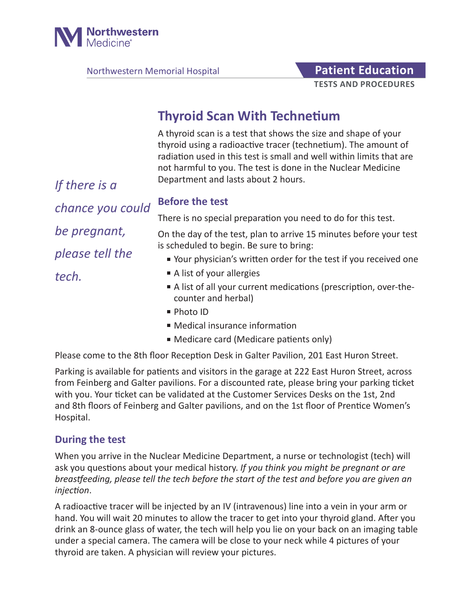

Northwestern Memorial Hospital **Patient Education** 

# **TESTS AND PROCEDURES**

# **Thyroid Scan With Technetium**

A thyroid scan is a test that shows the size and shape of your thyroid using a radioactive tracer (technetium). The amount of radiation used in this test is small and well within limits that are not harmful to you. The test is done in the Nuclear Medicine Department and lasts about 2 hours.

*If there is a chance you could be pregnant, please tell the tech.*

## **Before the test**

There is no special preparation you need to do for this test.

On the day of the test, plan to arrive 15 minutes before your test is scheduled to begin. Be sure to bring:

- Your physician's written order for the test if you received one
- A list of your allergies
- A list of all your current medications (prescription, over-thecounter and herbal)
- Photo ID
- Medical insurance information
- Medicare card (Medicare patients only)

Please come to the 8th floor Reception Desk in Galter Pavilion, 201 East Huron Street.

Parking is available for patients and visitors in the garage at 222 East Huron Street, across from Feinberg and Galter pavilions. For a discounted rate, please bring your parking ticket with you. Your ticket can be validated at the Customer Services Desks on the 1st, 2nd and 8th floors of Feinberg and Galter pavilions, and on the 1st floor of Prentice Women's Hospital.

### **During the test**

When you arrive in the Nuclear Medicine Department, a nurse or technologist (tech) will ask you questions about your medical history. *If you think you might be pregnant or are breastfeeding, please tell the tech before the start of the test and before you are given an injection*.

A radioactive tracer will be injected by an IV (intravenous) line into a vein in your arm or hand. You will wait 20 minutes to allow the tracer to get into your thyroid gland. After you drink an 8-ounce glass of water, the tech will help you lie on your back on an imaging table under a special camera. The camera will be close to your neck while 4 pictures of your thyroid are taken. A physician will review your pictures.